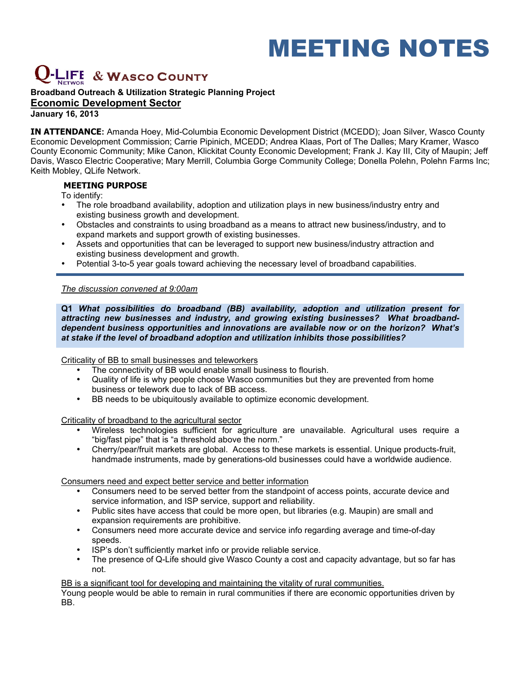# MEETING NOTES

# **& WASCO COUNTY**

# **Broadband Outreach & Utilization Strategic Planning Project Economic Development Sector**

**January 16, 2013**

**IN ATTENDANCE:** Amanda Hoey, Mid-Columbia Economic Development District (MCEDD); Joan Silver, Wasco County Economic Development Commission; Carrie Pipinich, MCEDD; Andrea Klaas, Port of The Dalles; Mary Kramer, Wasco County Economic Community; Mike Canon, Klickitat County Economic Development; Frank J. Kay III, City of Maupin; Jeff Davis, Wasco Electric Cooperative; Mary Merrill, Columbia Gorge Community College; Donella Polehn, Polehn Farms Inc; Keith Mobley, QLife Network.

# **MEETING PURPOSE**

To identify:

- The role broadband availability, adoption and utilization plays in new business/industry entry and existing business growth and development.
- Obstacles and constraints to using broadband as a means to attract new business/industry, and to expand markets and support growth of existing businesses.
- Assets and opportunities that can be leveraged to support new business/industry attraction and existing business development and growth.
- Potential 3-to-5 year goals toward achieving the necessary level of broadband capabilities.

## *The discussion convened at 9:00am*

**Q1** *What possibilities do broadband (BB) availability, adoption and utilization present for attracting new businesses and industry, and growing existing businesses? What broadbanddependent business opportunities and innovations are available now or on the horizon? What's at stake if the level of broadband adoption and utilization inhibits those possibilities?* 

Criticality of BB to small businesses and teleworkers

- The connectivity of BB would enable small business to flourish.
- Quality of life is why people choose Wasco communities but they are prevented from home business or telework due to lack of BB access.
- BB needs to be ubiquitously available to optimize economic development.

Criticality of broadband to the agricultural sector

- Wireless technologies sufficient for agriculture are unavailable. Agricultural uses require a "big/fast pipe" that is "a threshold above the norm."
- Cherry/pear/fruit markets are global. Access to these markets is essential. Unique products-fruit, handmade instruments, made by generations-old businesses could have a worldwide audience.

Consumers need and expect better service and better information

- Consumers need to be served better from the standpoint of access points, accurate device and service information, and ISP service, support and reliability.
- Public sites have access that could be more open, but libraries (e.g. Maupin) are small and expansion requirements are prohibitive.
- Consumers need more accurate device and service info regarding average and time-of-day speeds.
- ISP's don't sufficiently market info or provide reliable service.
- The presence of Q-Life should give Wasco County a cost and capacity advantage, but so far has not.

BB is a significant tool for developing and maintaining the vitality of rural communities.

Young people would be able to remain in rural communities if there are economic opportunities driven by BB.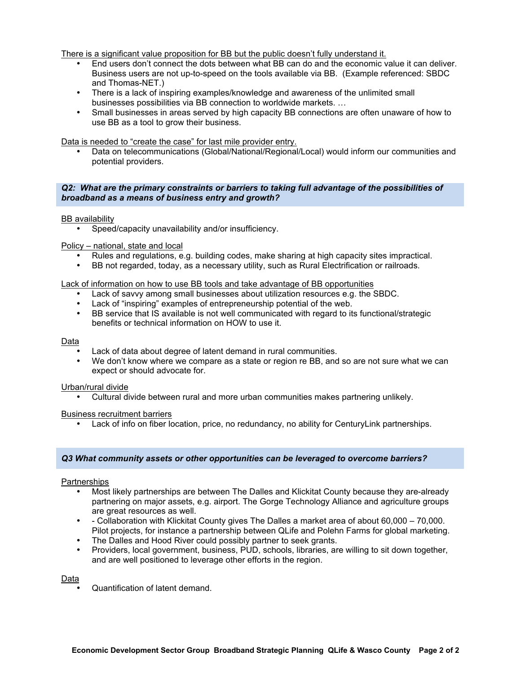There is a significant value proposition for BB but the public doesn't fully understand it.

- End users don't connect the dots between what BB can do and the economic value it can deliver. Business users are not up-to-speed on the tools available via BB. (Example referenced: SBDC and Thomas-NET.)
- There is a lack of inspiring examples/knowledge and awareness of the unlimited small businesses possibilities via BB connection to worldwide markets. …
- Small businesses in areas served by high capacity BB connections are often unaware of how to use BB as a tool to grow their business.

#### Data is needed to "create the case" for last mile provider entry.

• Data on telecommunications (Global/National/Regional/Local) would inform our communities and potential providers.

#### *Q2: What are the primary constraints or barriers to taking full advantage of the possibilities of broadband as a means of business entry and growth?*

#### **BB** availability

• Speed/capacity unavailability and/or insufficiency.

#### Policy – national, state and local

- Rules and regulations, e.g. building codes, make sharing at high capacity sites impractical.
- BB not regarded, today, as a necessary utility, such as Rural Electrification or railroads.

#### Lack of information on how to use BB tools and take advantage of BB opportunities

- Lack of savvy among small businesses about utilization resources e.g. the SBDC.
- Lack of "inspiring" examples of entrepreneurship potential of the web.
- BB service that IS available is not well communicated with regard to its functional/strategic benefits or technical information on HOW to use it.

#### Data

- Lack of data about degree of latent demand in rural communities.
- We don't know where we compare as a state or region re BB, and so are not sure what we can expect or should advocate for.

#### Urban/rural divide

• Cultural divide between rural and more urban communities makes partnering unlikely.

#### Business recruitment barriers

• Lack of info on fiber location, price, no redundancy, no ability for CenturyLink partnerships.

#### *Q3 What community assets or other opportunities can be leveraged to overcome barriers?*

#### **Partnerships**

- Most likely partnerships are between The Dalles and Klickitat County because they are-already partnering on major assets, e.g. airport. The Gorge Technology Alliance and agriculture groups are great resources as well.
- - Collaboration with Klickitat County gives The Dalles a market area of about 60,000 70,000. Pilot projects, for instance a partnership between QLife and Polehn Farms for global marketing.
- The Dalles and Hood River could possibly partner to seek grants.
- Providers, local government, business, PUD, schools, libraries, are willing to sit down together, and are well positioned to leverage other efforts in the region.

#### Data

• Quantification of latent demand.